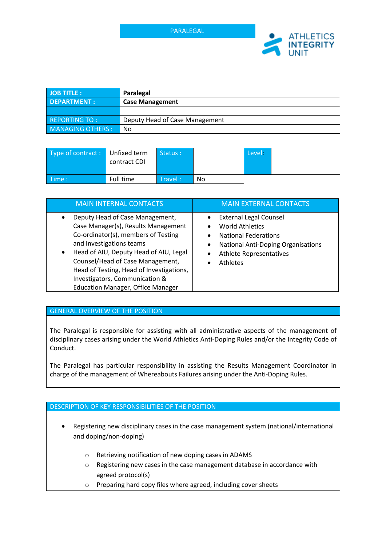

| <b>JOB TITLE:</b>       | Paralegal                      |
|-------------------------|--------------------------------|
| <b>DEPARTMENT:</b>      | <b>Case Management</b>         |
|                         |                                |
| REPORTING TO:           | Deputy Head of Case Management |
| <b>MANAGING OTHERS:</b> | No                             |

| Type of contract: Unfixed term | contract CDI | Status:                                    |     | Level: |  |
|--------------------------------|--------------|--------------------------------------------|-----|--------|--|
| $\blacksquare$ Time :          | Full time    | $\blacktriangle$ Travel : $\blacktriangle$ | No. |        |  |

| <b>MAIN INTERNAL CONTACTS</b>                                                                                                                                                                                                                                                                                                                                               | <b>MAIN EXTERNAL CONTACTS</b>                                                                                                                                                          |
|-----------------------------------------------------------------------------------------------------------------------------------------------------------------------------------------------------------------------------------------------------------------------------------------------------------------------------------------------------------------------------|----------------------------------------------------------------------------------------------------------------------------------------------------------------------------------------|
| Deputy Head of Case Management,<br>$\bullet$<br>Case Manager(s), Results Management<br>Co-ordinator(s), members of Testing<br>and Investigations teams<br>Head of AIU, Deputy Head of AIU, Legal<br>$\bullet$<br>Counsel/Head of Case Management,<br>Head of Testing, Head of Investigations,<br>Investigators, Communication &<br><b>Education Manager, Office Manager</b> | <b>External Legal Counsel</b><br><b>World Athletics</b><br><b>National Federations</b><br><b>National Anti-Doping Organisations</b><br>٠<br><b>Athlete Representatives</b><br>Athletes |

# GENERAL OVERVIEW OF THE POSITION

The Paralegal is responsible for assisting with all administrative aspects of the management of disciplinary cases arising under the World Athletics Anti-Doping Rules and/or the Integrity Code of Conduct.

The Paralegal has particular responsibility in assisting the Results Management Coordinator in charge of the management of Whereabouts Failures arising under the Anti-Doping Rules.

# DESCRIPTION OF KEY RESPONSIBILITIES OF THE POSITION

- Registering new disciplinary cases in the case management system (national/international and doping/non-doping)
	- o Retrieving notification of new doping cases in ADAMS
	- o Registering new cases in the case management database in accordance with agreed protocol(s)
	- o Preparing hard copy files where agreed, including cover sheets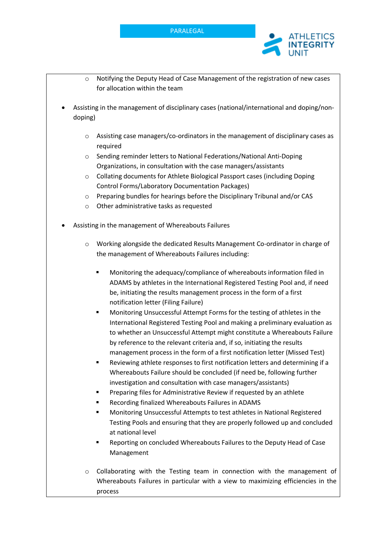

- o Notifying the Deputy Head of Case Management of the registration of new cases for allocation within the team
- Assisting in the management of disciplinary cases (national/international and doping/nondoping)
	- $\circ$  Assisting case managers/co-ordinators in the management of disciplinary cases as required
	- o Sending reminder letters to National Federations/National Anti-Doping Organizations, in consultation with the case managers/assistants
	- o Collating documents for Athlete Biological Passport cases (including Doping Control Forms/Laboratory Documentation Packages)
	- $\circ$  Preparing bundles for hearings before the Disciplinary Tribunal and/or CAS
	- o Other administrative tasks as requested
- Assisting in the management of Whereabouts Failures
	- o Working alongside the dedicated Results Management Co-ordinator in charge of the management of Whereabouts Failures including:
		- § Monitoring the adequacy/compliance of whereabouts information filed in ADAMS by athletes in the International Registered Testing Pool and, if need be, initiating the results management process in the form of a first notification letter (Filing Failure)
		- § Monitoring Unsuccessful Attempt Forms for the testing of athletes in the International Registered Testing Pool and making a preliminary evaluation as to whether an Unsuccessful Attempt might constitute a Whereabouts Failure by reference to the relevant criteria and, if so, initiating the results management process in the form of a first notification letter (Missed Test)
		- Reviewing athlete responses to first notification letters and determining if a Whereabouts Failure should be concluded (if need be, following further investigation and consultation with case managers/assistants)
		- § Preparing files for Administrative Review if requested by an athlete
		- § Recording finalized Whereabouts Failures in ADAMS
		- § Monitoring Unsuccessful Attempts to test athletes in National Registered Testing Pools and ensuring that they are properly followed up and concluded at national level
		- § Reporting on concluded Whereabouts Failures to the Deputy Head of Case Management
	- $\circ$  Collaborating with the Testing team in connection with the management of Whereabouts Failures in particular with a view to maximizing efficiencies in the process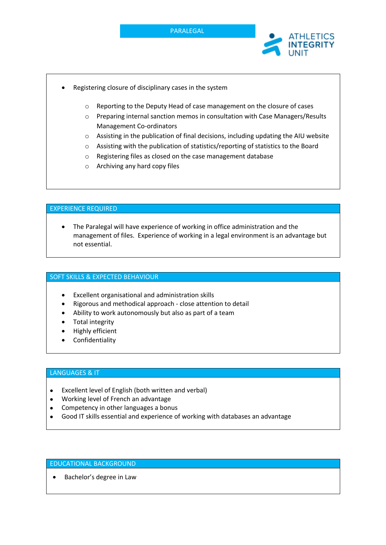



- Registering closure of disciplinary cases in the system
	- o Reporting to the Deputy Head of case management on the closure of cases
	- o Preparing internal sanction memos in consultation with Case Managers/Results Management Co-ordinators
	- o Assisting in the publication of final decisions, including updating the AIU website
	- o Assisting with the publication of statistics/reporting of statistics to the Board
	- o Registering files as closed on the case management database
	- o Archiving any hard copy files

### EXPERIENCE REQUIRED

• The Paralegal will have experience of working in office administration and the management of files. Experience of working in a legal environment is an advantage but not essential.

#### SOFT SKILLS & EXPECTED BEHAVIOUR

- Excellent organisational and administration skills
- Rigorous and methodical approach close attention to detail
- Ability to work autonomously but also as part of a team
- Total integrity
- Highly efficient
- **Confidentiality**

## LANGUAGES & IT

- Excellent level of English (both written and verbal)
- Working level of French an advantage
- Competency in other languages a bonus
- Good IT skills essential and experience of working with databases an advantage

### EDUCATIONAL BACKGROUND

• Bachelor's degree in Law